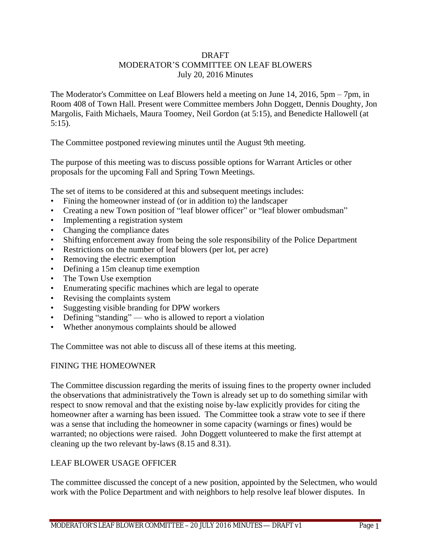#### **DRAFT**

#### MODERATOR'S COMMITTEE ON LEAF BLOWERS July 20, 2016 Minutes

The Moderator's Committee on Leaf Blowers held a meeting on June 14, 2016, 5pm – 7pm, in Room 408 of Town Hall. Present were Committee members John Doggett, Dennis Doughty, Jon Margolis, Faith Michaels, Maura Toomey, Neil Gordon (at 5:15), and Benedicte Hallowell (at 5:15).

The Committee postponed reviewing minutes until the August 9th meeting.

The purpose of this meeting was to discuss possible options for Warrant Articles or other proposals for the upcoming Fall and Spring Town Meetings.

The set of items to be considered at this and subsequent meetings includes:

- Fining the homeowner instead of (or in addition to) the landscaper
- Creating a new Town position of "leaf blower officer" or "leaf blower ombudsman"
- Implementing a registration system
- Changing the compliance dates
- Shifting enforcement away from being the sole responsibility of the Police Department
- Restrictions on the number of leaf blowers (per lot, per acre)
- Removing the electric exemption
- Defining a 15m cleanup time exemption
- The Town Use exemption
- Enumerating specific machines which are legal to operate
- Revising the complaints system
- Suggesting visible branding for DPW workers
- Defining "standing" who is allowed to report a violation
- Whether anonymous complaints should be allowed

The Committee was not able to discuss all of these items at this meeting.

#### FINING THE HOMEOWNER

The Committee discussion regarding the merits of issuing fines to the property owner included the observations that administratively the Town is already set up to do something similar with respect to snow removal and that the existing noise by-law explicitly provides for citing the homeowner after a warning has been issued. The Committee took a straw vote to see if there was a sense that including the homeowner in some capacity (warnings or fines) would be warranted; no objections were raised. John Doggett volunteered to make the first attempt at cleaning up the two relevant by-laws (8.15 and 8.31).

## LEAF BLOWER USAGE OFFICER

The committee discussed the concept of a new position, appointed by the Selectmen, who would work with the Police Department and with neighbors to help resolve leaf blower disputes. In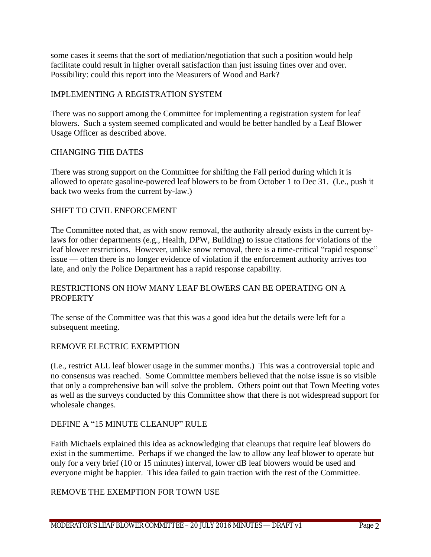some cases it seems that the sort of mediation/negotiation that such a position would help facilitate could result in higher overall satisfaction than just issuing fines over and over. Possibility: could this report into the Measurers of Wood and Bark?

## IMPLEMENTING A REGISTRATION SYSTEM

There was no support among the Committee for implementing a registration system for leaf blowers. Such a system seemed complicated and would be better handled by a Leaf Blower Usage Officer as described above.

## CHANGING THE DATES

There was strong support on the Committee for shifting the Fall period during which it is allowed to operate gasoline-powered leaf blowers to be from October 1 to Dec 31. (I.e., push it back two weeks from the current by-law.)

## SHIFT TO CIVIL ENFORCEMENT

The Committee noted that, as with snow removal, the authority already exists in the current bylaws for other departments (e.g., Health, DPW, Building) to issue citations for violations of the leaf blower restrictions. However, unlike snow removal, there is a time-critical "rapid response" issue — often there is no longer evidence of violation if the enforcement authority arrives too late, and only the Police Department has a rapid response capability.

## RESTRICTIONS ON HOW MANY LEAF BLOWERS CAN BE OPERATING ON A **PROPERTY**

The sense of the Committee was that this was a good idea but the details were left for a subsequent meeting.

# REMOVE ELECTRIC EXEMPTION

(I.e., restrict ALL leaf blower usage in the summer months.) This was a controversial topic and no consensus was reached. Some Committee members believed that the noise issue is so visible that only a comprehensive ban will solve the problem. Others point out that Town Meeting votes as well as the surveys conducted by this Committee show that there is not widespread support for wholesale changes.

## DEFINE A "15 MINUTE CLEANUP" RULE

Faith Michaels explained this idea as acknowledging that cleanups that require leaf blowers do exist in the summertime. Perhaps if we changed the law to allow any leaf blower to operate but only for a very brief (10 or 15 minutes) interval, lower dB leaf blowers would be used and everyone might be happier. This idea failed to gain traction with the rest of the Committee.

## REMOVE THE EXEMPTION FOR TOWN USE